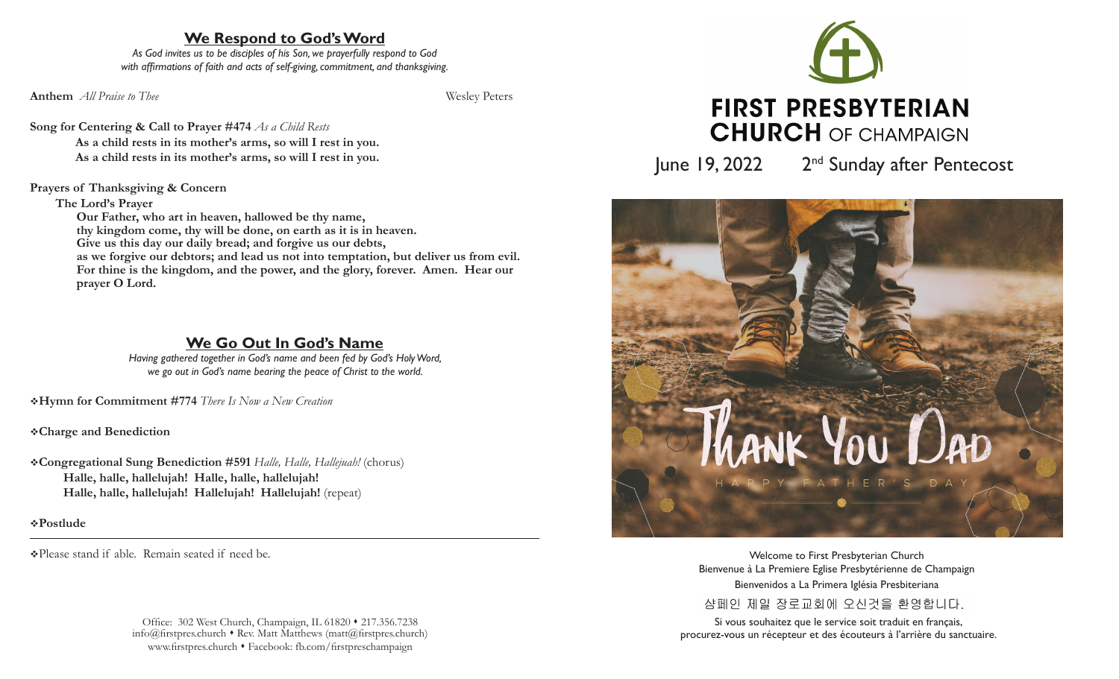# **We Respond to God's Word**

*As God invites us to be disciples of his Son, we prayerfully respond to God with affirmations of faith and acts of self-giving, commitment, and thanksgiving.*

**Anthem** *All Praise to Thee* Wesley Peters

**Song for Centering & Call to Prayer #474** *As a Child Rests* **As a child rests in its mother's arms, so will I rest in you. As a child rests in its mother's arms, so will I rest in you.**

## **Prayers of Thanksgiving & Concern**

### **The Lord's Prayer**

 **Our Father, who art in heaven, hallowed be thy name, thy kingdom come, thy will be done, on earth as it is in heaven. Give us this day our daily bread; and forgive us our debts, as we forgive our debtors; and lead us not into temptation, but deliver us from evil. For thine is the kingdom, and the power, and the glory, forever. Amen. Hear our prayer O Lord.**

# **We Go Out In God's Name**

*Having gathered together in God's name and been fed by God's Holy Word, we go out in God's name bearing the peace of Christ to the world.*

v**Hymn for Commitment #774** *There Is Now a New Creation*

v**Charge and Benediction**

v**Congregational Sung Benediction #591** *Halle, Halle, Hallejuah!* (chorus) **Halle, halle, hallelujah! Halle, halle, hallelujah! Halle, halle, hallelujah! Hallelujah! Hallelujah!** (repeat)

v**Postlude** 

vPlease stand if able. Remain seated if need be.

Office: 302 West Church, Champaign, IL 61820 • 217.356.7238  $info@firstpreschurch * Rev. Matt$  Matthews (matt@firstpreschurch)www.firstpres.church • Facebook: fb.com/firstpreschampaign



June 19, 2022 2<sup>nd</sup> Sunday after Pentecost



Welcome to First Presbyterian Church Bienvenue à La Premiere Eglise Presbytérienne de Champaign Bienvenidos a La Primera Iglésia Presbiteriana 샴페인 제일 장로교회에 오신것을 환영합니다.

Si vous souhaitez que le service soit traduit en français, procurez-vous un récepteur et des écouteurs à l'arrière du sanctuaire.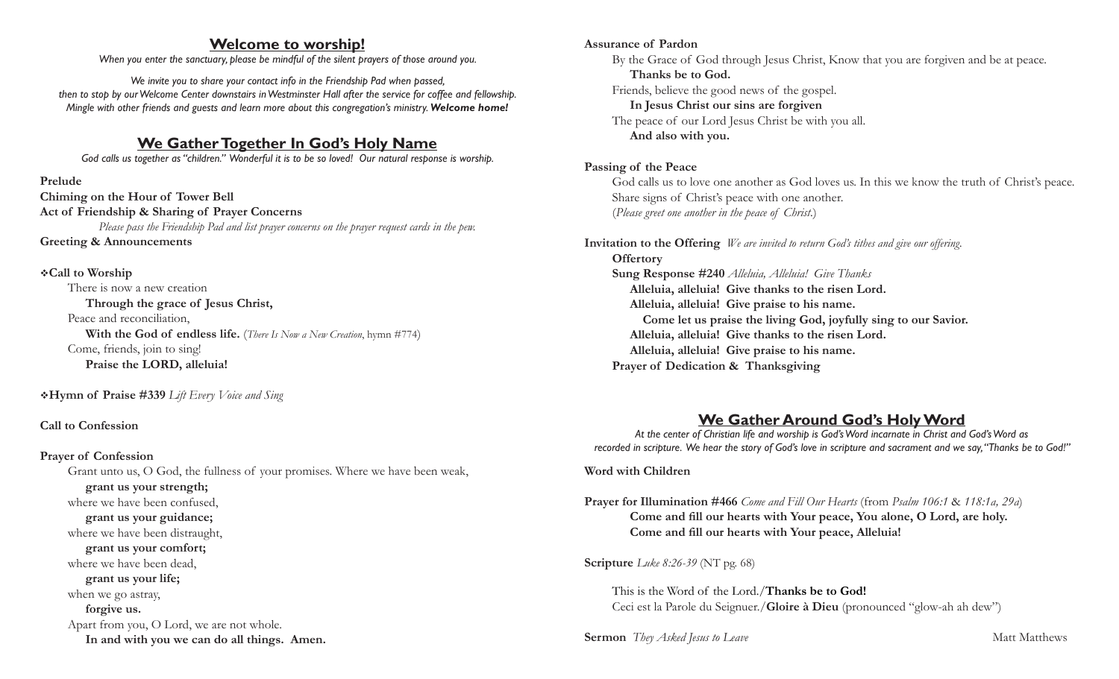## **Welcome to worship!**

*When you enter the sanctuary, please be mindful of the silent prayers of those around you.*

*We invite you to share your contact info in the Friendship Pad when passed, then to stop by our Welcome Center downstairs in Westminster Hall after the service for coffee and fellowship. Mingle with other friends and guests and learn more about this congregation's ministry. Welcome home!*

## **We Gather Together In God's Holy Name**

*God calls us together as "children." Wonderful it is to be so loved! Our natural response is worship.*

**Prelude Chiming on the Hour of Tower Bell Act of Friendship & Sharing of Prayer Concerns** *Please pass the Friendship Pad and list prayer concerns on the prayer request cards in the pew.* **Greeting & Announcements**

#### v**Call to Worship**

There is now a new creation **Through the grace of Jesus Christ,** Peace and reconciliation, **With the God of endless life.** (*There Is Now a New Creation*, hymn #774) Come, friends, join to sing! **Praise the LORD, alleluia!**

v**Hymn of Praise #339** *Lift Every Voice and Sing*

### **Call to Confession**

#### **Prayer of Confession**

Grant unto us, O God, the fullness of your promises. Where we have been weak,

 **grant us your strength;** where we have been confused,

 **grant us your guidance;** 

where we have been distraught,

 **grant us your comfort;**  where we have been dead,  **grant us your life;** when we go astray,

 **forgive us.** 

Apart from you, O Lord, we are not whole. **In and with you we can do all things. Amen.** 

#### **Assurance of Pardon**

By the Grace of God through Jesus Christ, Know that you are forgiven and be at peace.  **Thanks be to God.** Friends, believe the good news of the gospel.

 **In Jesus Christ our sins are forgiven**

The peace of our Lord Jesus Christ be with you all.  **And also with you.**

### **Passing of the Peace**

God calls us to love one another as God loves us. In this we know the truth of Christ's peace. Share signs of Christ's peace with one another. (*Please greet one another in the peace of Christ.*)

# **Invitation to the Offering** *We are invited to return God's tithes and give our offering.*

**Offertory Sung Response #240** *Alleluia, Alleluia! Give Thanks* **Alleluia, alleluia! Give thanks to the risen Lord. Alleluia, alleluia! Give praise to his name. Come let us praise the living God, joyfully sing to our Savior. Alleluia, alleluia! Give thanks to the risen Lord. Alleluia, alleluia! Give praise to his name. Prayer of Dedication & Thanksgiving** 

# **We Gather Around God's Holy Word**

*At the center of Christian life and worship is God's Word incarnate in Christ and God's Word as recorded in scripture. We hear the story of God's love in scripture and sacrament and we say, "Thanks be to God!"*

### **Word with Children**

**Prayer for Illumination #466** *Come and Fill Our Hearts* (from *Psalm 106:1* & *118:1a, 29a*) **Come and fill our hearts with Your peace, You alone, O Lord, are holy. Come and fill our hearts with Your peace, Alleluia!** 

## **Scripture** *Luke 8:26-39* (NT pg. 68)

This is the Word of the Lord./**Thanks be to God!** Ceci est la Parole du Seignuer./**Gloire à Dieu** (pronounced "glow-ah ah dew")

#### **Sermon** *They Asked Jesus to Leave* Matt Matthews **Matt Matthews**